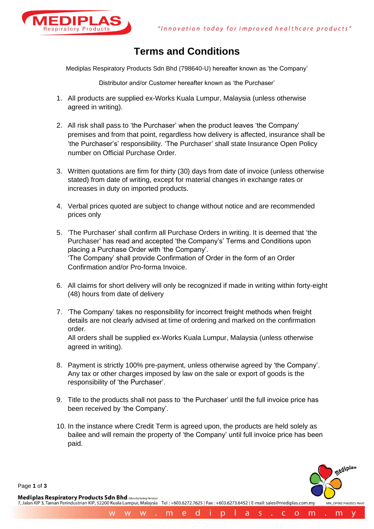

## **Terms and Conditions**

Mediplas Respiratory Products Sdn Bhd (798640-U) hereafter known as 'the Company'

Distributor and/or Customer hereafter known as 'the Purchaser'

- 1. All products are supplied ex-Works Kuala Lumpur, Malaysia (unless otherwise agreed in writing).
- 2. All risk shall pass to 'the Purchaser' when the product leaves 'the Company' premises and from that point, regardless how delivery is affected, insurance shall be 'the Purchaser's' responsibility. 'The Purchaser' shall state Insurance Open Policy number on Official Purchase Order.
- 3. Written quotations are firm for thirty (30) days from date of invoice (unless otherwise stated) from date of writing, except for material changes in exchange rates or increases in duty on imported products.
- 4. Verbal prices quoted are subject to change without notice and are recommended prices only
- 5. 'The Purchaser' shall confirm all Purchase Orders in writing. It is deemed that 'the Purchaser' has read and accepted 'the Company's' Terms and Conditions upon placing a Purchase Order with 'the Company'. 'The Company' shall provide Confirmation of Order in the form of an Order Confirmation and/or Pro-forma Invoice.
- 6. All claims for short delivery will only be recognized if made in writing within forty-eight (48) hours from date of delivery
- 7. 'The Company' takes no responsibility for incorrect freight methods when freight details are not clearly advised at time of ordering and marked on the confirmation order. All orders shall be supplied ex-Works Kuala Lumpur, Malaysia (unless otherwise

agreed in writing).

- 8. Payment is strictly 100% pre-payment, unless otherwise agreed by 'the Company'. Any tax or other charges imposed by law on the sale or export of goods is the responsibility of 'the Purchaser'.
- 9. Title to the products shall not pass to 'the Purchaser' until the full invoice price has been received by 'the Company'.
- 10. In the instance where Credit Term is agreed upon, the products are held solely as bailee and will remain the property of 'the Company' until full invoice price has been paid.

Page **1** of **3**

Mediplas Respiratory Products Sdn Bhd Manufacturing Division 7, Jalan KIP 3, Taman Perindustrian KIP, 52200 Kuala Lumpur, Malaysia Tel: +603.6272.7625 | Fax: +603.6273.6452 | E-mail: sales@mediplas.com.my  $MM$  OF062 Feb2021 Revi

ediplas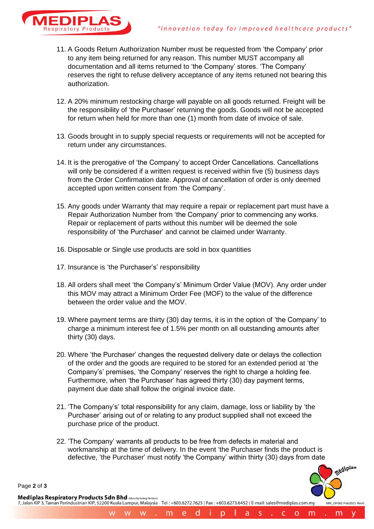

- 11. A Goods Return Authorization Number must be requested from 'the Company' prior to any item being returned for any reason. This number MUST accompany all documentation and all items returned to 'the Company' stores. 'The Company' reserves the right to refuse delivery acceptance of any items retuned not bearing this authorization.
- 12. A 20% minimum restocking charge will payable on all goods returned. Freight will be the responsibility of 'the Purchaser' returning the goods. Goods will not be accepted for return when held for more than one (1) month from date of invoice of sale.
- 13. Goods brought in to supply special requests or requirements will not be accepted for return under any circumstances.
- 14. It is the prerogative of 'the Company' to accept Order Cancellations. Cancellations will only be considered if a written request is received within five (5) business days from the Order Confirmation date. Approval of cancellation of order is only deemed accepted upon written consent from 'the Company'.
- 15. Any goods under Warranty that may require a repair or replacement part must have a Repair Authorization Number from 'the Company' prior to commencing any works. Repair or replacement of parts without this number will be deemed the sole responsibility of 'the Purchaser' and cannot be claimed under Warranty.
- 16. Disposable or Single use products are sold in box quantities
- 17. Insurance is 'the Purchaser's' responsibility
- 18. All orders shall meet 'the Company's' Minimum Order Value (MOV). Any order under this MOV may attract a Minimum Order Fee (MOF) to the value of the difference between the order value and the MOV.
- 19. Where payment terms are thirty (30) day terms, it is in the option of 'the Company' to charge a minimum interest fee of 1.5% per month on all outstanding amounts after thirty (30) days.
- 20. Where 'the Purchaser' changes the requested delivery date or delays the collection of the order and the goods are required to be stored for an extended period at 'the Company's' premises, 'the Company' reserves the right to charge a holding fee. Furthermore, when 'the Purchaser' has agreed thirty (30) day payment terms, payment due date shall follow the original invoice date.
- 21. 'The Company's' total responsibility for any claim, damage, loss or liability by 'the Purchaser' arising out of or relating to any product supplied shall not exceed the purchase price of the product.
- 22. 'The Company' warrants all products to be free from defects in material and workmanship at the time of delivery. In the event 'the Purchaser finds the product is defective, 'the Purchaser' must notify 'the Company' within thirty (30) days from date

MM\_OE062 Feb2021 Rev0

nediplas